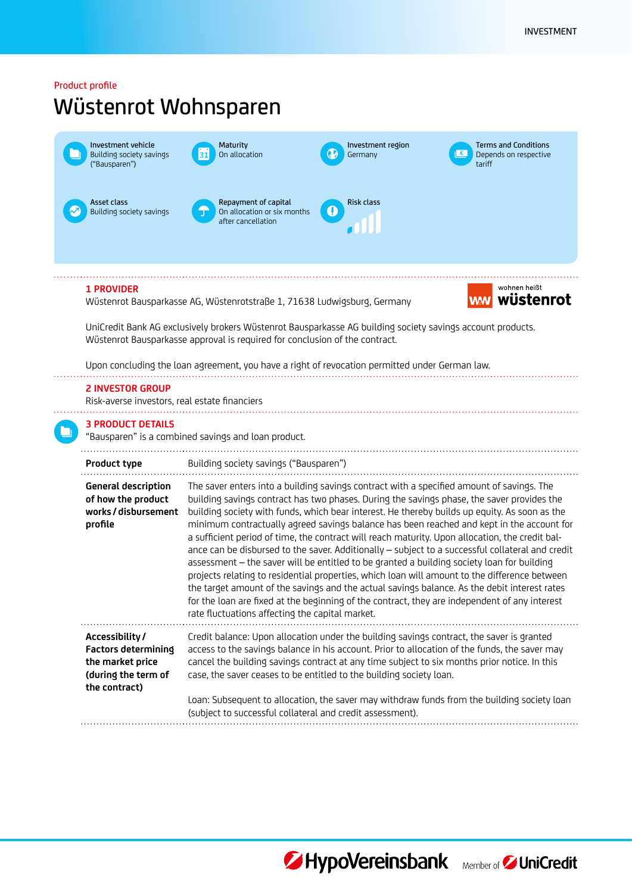## Product profile

# Wüstenrot Wohnsparen

| Investment vehicle<br>Building society savings<br>("Bausparen")                                          | <b>Maturity</b><br>On allocation<br>31                                                                                                                                                                                                                                                      | Investment region<br>Germany          | <b>Terms and Conditions</b><br>$\epsilon$<br>Depends on respective<br>tariff                                                                                                                                                                                                                                                                                                                                                                                                                                                                                                                                                                                                                                                                                                                                                                                                                                                                                                                 |  |  |
|----------------------------------------------------------------------------------------------------------|---------------------------------------------------------------------------------------------------------------------------------------------------------------------------------------------------------------------------------------------------------------------------------------------|---------------------------------------|----------------------------------------------------------------------------------------------------------------------------------------------------------------------------------------------------------------------------------------------------------------------------------------------------------------------------------------------------------------------------------------------------------------------------------------------------------------------------------------------------------------------------------------------------------------------------------------------------------------------------------------------------------------------------------------------------------------------------------------------------------------------------------------------------------------------------------------------------------------------------------------------------------------------------------------------------------------------------------------------|--|--|
| Asset class<br>Building society savings                                                                  | Repayment of capital<br>On allocation or six months<br>after cancellation                                                                                                                                                                                                                   | <b>Risk class</b><br>$\bf \bm \theta$ |                                                                                                                                                                                                                                                                                                                                                                                                                                                                                                                                                                                                                                                                                                                                                                                                                                                                                                                                                                                              |  |  |
| <b>1 PROVIDER</b>                                                                                        | Wüstenrot Bausparkasse AG, Wüstenrotstraße 1, 71638 Ludwigsburg, Germany                                                                                                                                                                                                                    |                                       | wohnen heißt<br>wüstenrot<br><b>WM</b>                                                                                                                                                                                                                                                                                                                                                                                                                                                                                                                                                                                                                                                                                                                                                                                                                                                                                                                                                       |  |  |
|                                                                                                          | UniCredit Bank AG exclusively brokers Wüstenrot Bausparkasse AG building society savings account products.<br>Wüstenrot Bausparkasse approval is required for conclusion of the contract.<br>Upon concluding the loan agreement, you have a right of revocation permitted under German law. |                                       |                                                                                                                                                                                                                                                                                                                                                                                                                                                                                                                                                                                                                                                                                                                                                                                                                                                                                                                                                                                              |  |  |
| <b>2 INVESTOR GROUP</b><br>Risk-averse investors, real estate financiers                                 |                                                                                                                                                                                                                                                                                             |                                       |                                                                                                                                                                                                                                                                                                                                                                                                                                                                                                                                                                                                                                                                                                                                                                                                                                                                                                                                                                                              |  |  |
| <b>3 PRODUCT DETAILS</b>                                                                                 | "Bausparen" is a combined savings and loan product.                                                                                                                                                                                                                                         |                                       |                                                                                                                                                                                                                                                                                                                                                                                                                                                                                                                                                                                                                                                                                                                                                                                                                                                                                                                                                                                              |  |  |
| Product type                                                                                             | Building society savings ("Bausparen")                                                                                                                                                                                                                                                      |                                       |                                                                                                                                                                                                                                                                                                                                                                                                                                                                                                                                                                                                                                                                                                                                                                                                                                                                                                                                                                                              |  |  |
| <b>General description</b><br>of how the product<br>works / disbursement<br>profile                      | rate fluctuations affecting the capital market.                                                                                                                                                                                                                                             |                                       | The saver enters into a building savings contract with a specified amount of savings. The<br>building savings contract has two phases. During the savings phase, the saver provides the<br>building society with funds, which bear interest. He thereby builds up equity. As soon as the<br>minimum contractually agreed savings balance has been reached and kept in the account for<br>a sufficient period of time, the contract will reach maturity. Upon allocation, the credit bal-<br>ance can be disbursed to the saver. Additionally - subject to a successful collateral and credit<br>assessment - the saver will be entitled to be granted a building society loan for building<br>projects relating to residential properties, which loan will amount to the difference between<br>the target amount of the savings and the actual savings balance. As the debit interest rates<br>for the loan are fixed at the beginning of the contract, they are independent of any interest |  |  |
| Accessibility/<br><b>Factors determining</b><br>the market price<br>(during the term of<br>the contract) | Credit balance: Upon allocation under the building savings contract, the saver is granted<br>case, the saver ceases to be entitled to the building society loan.                                                                                                                            |                                       | access to the savings balance in his account. Prior to allocation of the funds, the saver may<br>cancel the building savings contract at any time subject to six months prior notice. In this                                                                                                                                                                                                                                                                                                                                                                                                                                                                                                                                                                                                                                                                                                                                                                                                |  |  |
|                                                                                                          | (subject to successful collateral and credit assessment).                                                                                                                                                                                                                                   |                                       | Loan: Subsequent to allocation, the saver may withdraw funds from the building society loan                                                                                                                                                                                                                                                                                                                                                                                                                                                                                                                                                                                                                                                                                                                                                                                                                                                                                                  |  |  |



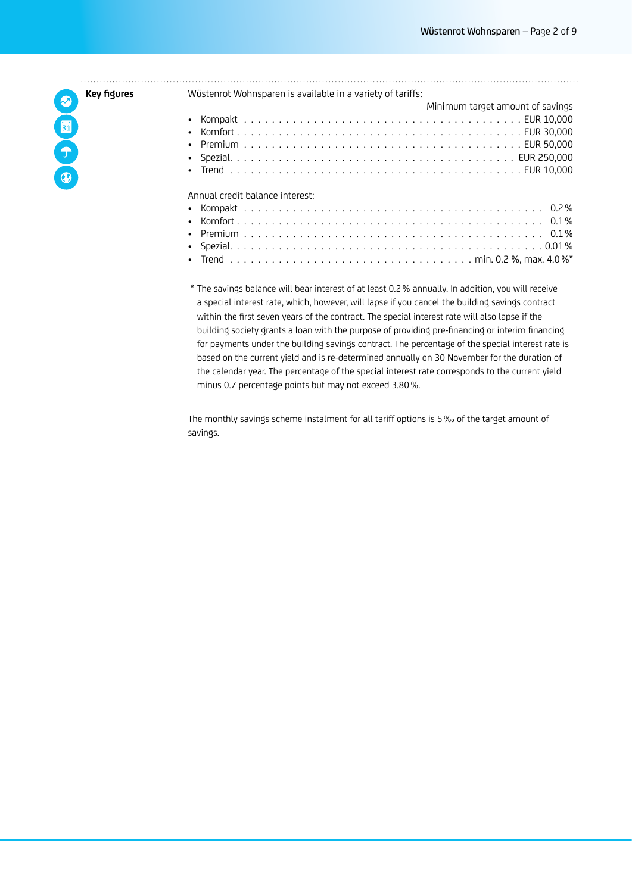**Key figures** OOO

| Wüstenrot Wohnsparen is available in a variety of tariffs: |
|------------------------------------------------------------|
| Minimum target amount of savings                           |
|                                                            |
| $\bullet$                                                  |
| $\bullet$                                                  |
|                                                            |
| $\bullet$                                                  |
| Annual credit balance interest:                            |
|                                                            |
| $\bullet$                                                  |
| $\bullet$                                                  |
|                                                            |
| $\bullet$                                                  |
|                                                            |

\* The savings balance will bear interest of at least 0.2% annually. In addition, you will receive a special interest rate, which, however, will lapse if you cancel the building savings contract within the first seven years of the contract. The special interest rate will also lapse if the building society grants a loan with the purpose of providing pre-financing or interim financing for payments under the building savings contract. The percentage of the special interest rate is based on the current yield and is re-determined annually on 30 November for the duration of the calendar year. The percentage of the special interest rate corresponds to the current yield minus 0.7 percentage points but may not exceed 3.80%.

The monthly savings scheme instalment for all tariff options is 5‰ of the target amount of savings.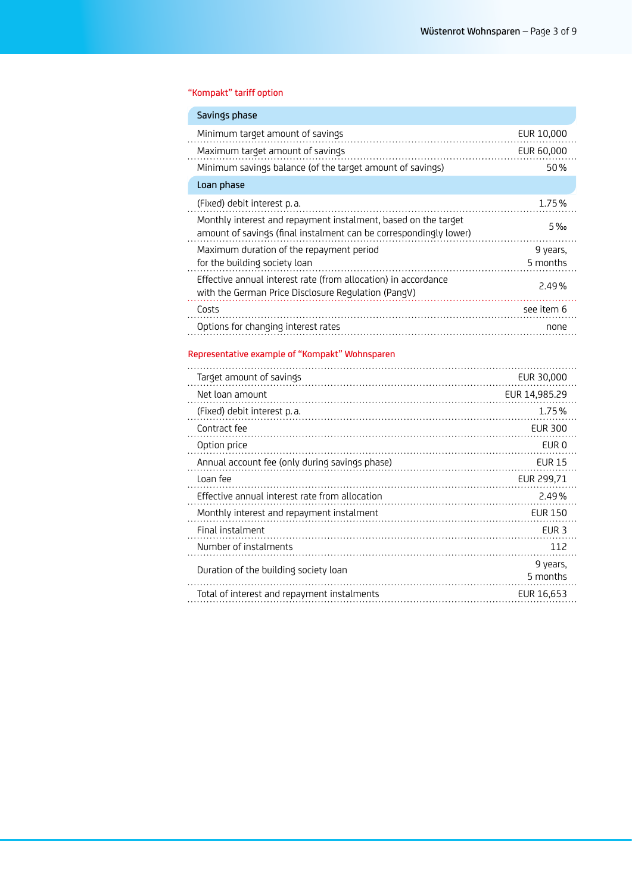## "Kompakt" tariff option

| Savings phase                                                                                                                       |                      |
|-------------------------------------------------------------------------------------------------------------------------------------|----------------------|
| Minimum target amount of savings                                                                                                    | EUR 10,000           |
| Maximum target amount of savings                                                                                                    | EUR 60,000           |
| Minimum savings balance (of the target amount of savings)                                                                           | 50%                  |
| Loan phase                                                                                                                          |                      |
| (Fixed) debit interest p.a.                                                                                                         | 1.75%                |
| Monthly interest and repayment instalment, based on the target<br>amount of savings (final instalment can be correspondingly lower) | $5\%$                |
| Maximum duration of the repayment period<br>for the building society loan                                                           | 9 years.<br>5 months |
| Effective annual interest rate (from allocation) in accordance<br>with the German Price Disclosure Regulation (PangV)               | 2.49%                |
| Costs                                                                                                                               | see item 6           |
| Options for changing interest rates                                                                                                 | none                 |
|                                                                                                                                     |                      |

## Representative example of "Kompakt" Wohnsparen

| Target amount of savings                       | EUR 30,000           |
|------------------------------------------------|----------------------|
| Net loan amount                                | EUR 14.985.29        |
| (Fixed) debit interest p.a.                    | 1.75%                |
| Contract fee                                   | <b>EUR 300</b>       |
| Option price                                   | EUR 0                |
| Annual account fee (only during savings phase) | <b>EUR 15</b>        |
| Loan fee                                       | EUR 299.71           |
| Effective annual interest rate from allocation | 2.49%                |
| Monthly interest and repayment instalment      | <b>EUR 150</b>       |
| Final instalment                               | EUR <sub>3</sub>     |
| Number of instalments                          | 112                  |
| Duration of the building society loan          | 9 years.<br>5 months |
| Total of interest and repayment instalments    | EUR 16.653           |
|                                                |                      |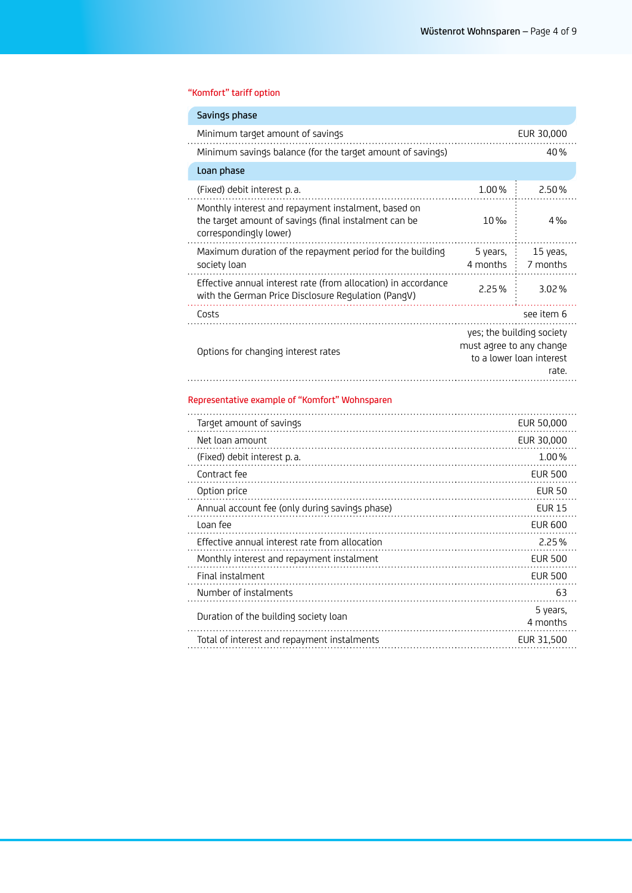## "Komfort" tariff option

| Savings phase                                                                                                                          |                          |                                                                |
|----------------------------------------------------------------------------------------------------------------------------------------|--------------------------|----------------------------------------------------------------|
| Minimum target amount of savings                                                                                                       |                          | EUR 30,000                                                     |
| Minimum savings balance (for the target amount of savings)                                                                             |                          | 40%                                                            |
| Loan phase                                                                                                                             |                          |                                                                |
| (Fixed) debit interest p.a.                                                                                                            | 1.00%                    | 2.50%                                                          |
| Monthly interest and repayment instalment, based on<br>the target amount of savings (final instalment can be<br>correspondingly lower) | $10\%$                   | 4%                                                             |
| Maximum duration of the repayment period for the building<br>society loan                                                              | 5 years.<br>4 months     | 15 yeas.<br>7 months                                           |
| Effective annual interest rate (from allocation) in accordance<br>with the German Price Disclosure Regulation (PangV)                  | 2.25%                    | 3.02%                                                          |
| Costs                                                                                                                                  |                          | see item 6                                                     |
| Options for changing interest rates                                                                                                    | must agree to any change | yes; the building society<br>to a lower loan interest<br>rate. |
| Representative example of "Komfort" Wohnsparen                                                                                         |                          |                                                                |
| Target amount of savings                                                                                                               |                          | EUR 50,000                                                     |
| Net loan amount                                                                                                                        |                          | EUR 30,000                                                     |
| (Fixed) debit interest p.a.                                                                                                            | 1.00%                    |                                                                |
| Contract fee                                                                                                                           |                          | <b>EUR 500</b>                                                 |

| Option price                                   | <b>EUR 50</b>        |
|------------------------------------------------|----------------------|
| Annual account fee (only during savings phase) | <b>FUR 15</b>        |
| Loan fee                                       | FUR 600              |
| Effective annual interest rate from allocation | 2.25%                |
| Monthly interest and repayment instalment      | <b>FUR 500</b>       |
| Final instalment                               | <b>FUR 500</b>       |
| Number of instalments                          | 63                   |
| Duration of the building society loan          | 5 years.<br>4 months |
| Total of interest and repayment instalments    | EUR 31,500           |
|                                                |                      |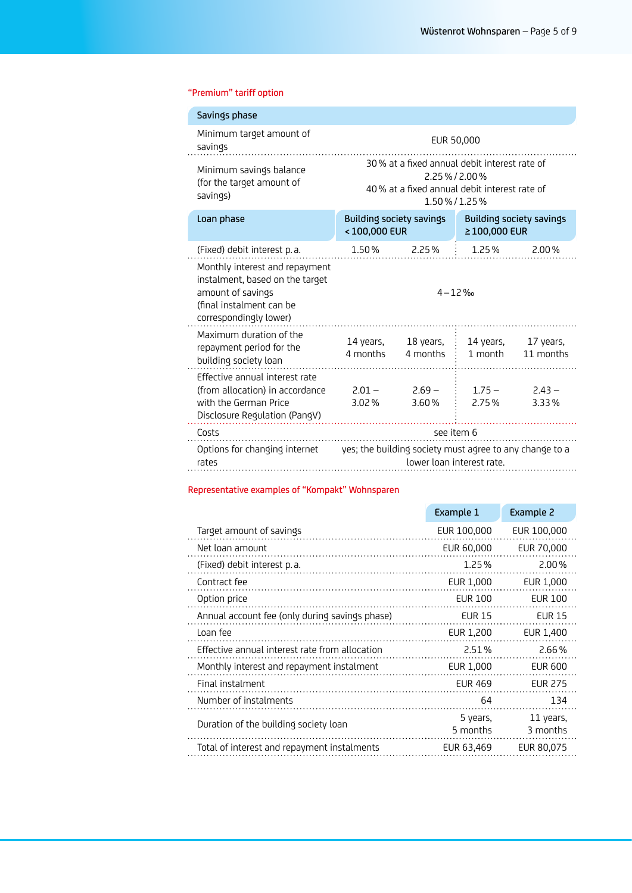## "Premium" tariff option

| Minimum target amount of<br>EUR 50,000<br>savings                                                                                                                                              |       |                                                                                               |                                                                  |
|------------------------------------------------------------------------------------------------------------------------------------------------------------------------------------------------|-------|-----------------------------------------------------------------------------------------------|------------------------------------------------------------------|
| 30% at a fixed annual debit interest rate of<br>Minimum savings balance<br>2.25%/2.00%<br>(for the target amount of<br>40% at a fixed annual debit interest rate of<br>savings)<br>1.50%/1.25% |       |                                                                                               |                                                                  |
| Loan phase<br><100,000 EUR                                                                                                                                                                     |       | ≥100,000 EUR                                                                                  | <b>Building society savings</b>                                  |
|                                                                                                                                                                                                |       | 1.25% 2.00%                                                                                   |                                                                  |
|                                                                                                                                                                                                |       |                                                                                               |                                                                  |
|                                                                                                                                                                                                |       | 1 month                                                                                       | 11 months                                                        |
| 3.02%                                                                                                                                                                                          | 3.60% | $1.75 - 2.43 -$<br>2.75%                                                                      | 3.33%                                                            |
| see item 6                                                                                                                                                                                     |       |                                                                                               |                                                                  |
| Options for changing internet yes; the building society must agree to any change to a<br>lower loan interest rate.                                                                             |       |                                                                                               |                                                                  |
|                                                                                                                                                                                                |       | <b>Building society savings</b><br>1.50 % 2.25 %<br>.<br>4 months 4 months<br>$2.01 - 2.69 -$ | $4 - 12\%$<br>14 years, $18$ years, $\vdots$ 14 years, 17 years, |

## Representative examples of "Kompakt" Wohnsparen

|                                                | Example 1            | Example 2             |
|------------------------------------------------|----------------------|-----------------------|
| Target amount of savings                       | EUR 100,000          | EUR 100,000           |
| Net loan amount                                | EUR 60,000           | EUR 70,000            |
| (Fixed) debit interest p.a.                    | 1.25%                | 2.00%                 |
| Contract fee                                   | EUR 1,000            | EUR 1,000             |
| Option price                                   | <b>EUR 100</b>       | <b>EUR 100</b>        |
| Annual account fee (only during savings phase) | <b>EUR 15</b>        | <b>EUR 15</b>         |
| Loan fee                                       | EUR 1,200            | EUR 1,400             |
| Effective annual interest rate from allocation | 2.51%                | 2.66%                 |
| Monthly interest and repayment instalment      | EUR 1,000            | <b>EUR 600</b>        |
| Final instalment                               | <b>EUR 469</b>       | <b>EUR 275</b>        |
| Number of instalments                          | 64                   | 134                   |
| Duration of the building society loan          | 5 years.<br>5 months | 11 years.<br>3 months |
| Total of interest and repayment instalments    | EUR 63,469           | EUR 80,075            |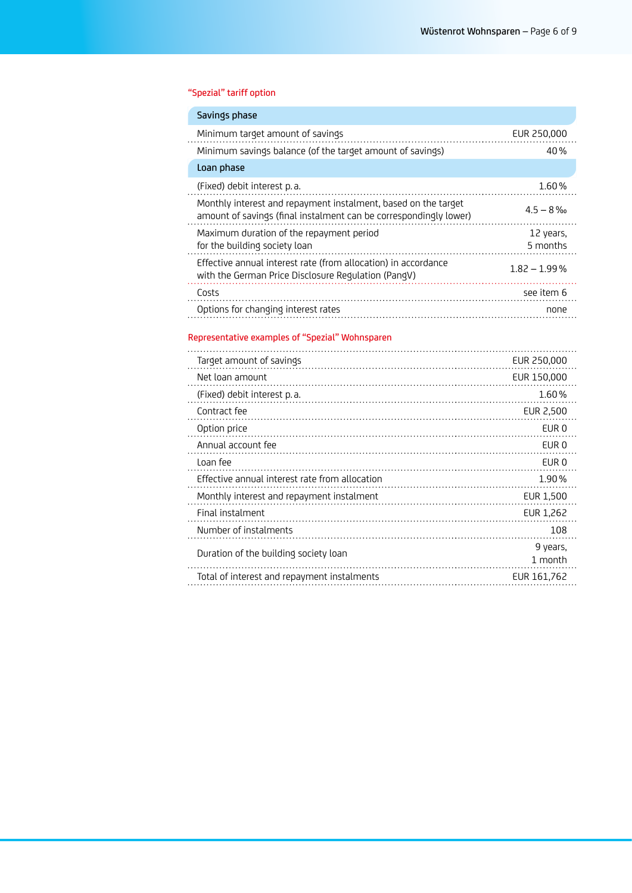## "Spezial" tariff option

| Savings phase                                                                                                                       |                |
|-------------------------------------------------------------------------------------------------------------------------------------|----------------|
| Minimum target amount of savings                                                                                                    | EUR 250,000    |
| Minimum savings balance (of the target amount of savings)                                                                           | 40%            |
| Loan phase                                                                                                                          |                |
| (Fixed) debit interest p.a.                                                                                                         | 1.60%          |
| Monthly interest and repayment instalment, based on the target<br>amount of savings (final instalment can be correspondingly lower) | $4.5 - 8\%$    |
| Maximum duration of the repayment period                                                                                            | 12 years.      |
| for the building society loan                                                                                                       | 5 months       |
| Effective annual interest rate (from allocation) in accordance<br>with the German Price Disclosure Regulation (PangV)               | $1.82 - 1.99%$ |
| Costs                                                                                                                               | see item 6     |
| Options for changing interest rates                                                                                                 | none           |
|                                                                                                                                     |                |

## Representative examples of "Spezial" Wohnsparen

| Target amount of savings                       | EUR 250,000         |
|------------------------------------------------|---------------------|
| Net loan amount                                | EUR 150,000         |
| (Fixed) debit interest p.a.                    | 1.60%               |
| Contract fee                                   | EUR 2,500           |
| Option price                                   | EUR 0               |
| Annual account fee                             | EUR 0               |
| Loan fee                                       | EUR 0               |
| Effective annual interest rate from allocation | 1.90%               |
| Monthly interest and repayment instalment      | EUR 1,500           |
| Final instalment                               | EUR 1.262           |
| Number of instalments                          | 108                 |
| Duration of the building society loan          | 9 years.<br>1 month |
| Total of interest and repayment instalments    | EUR 161,762         |
|                                                |                     |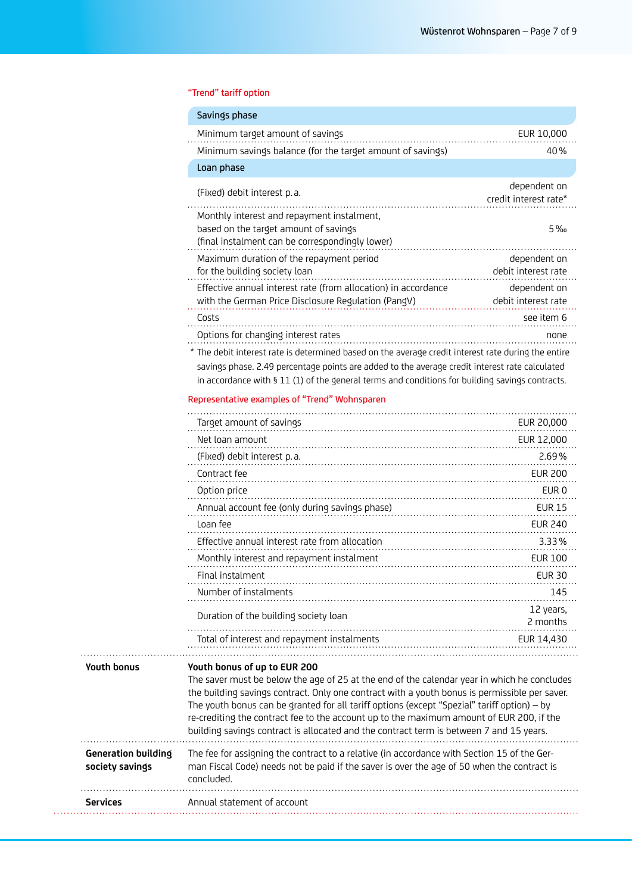## "Trend" tariff option

|                                               | Savings phase                                                                                                                                                                                                                                                                                                                                                                                                                                                                                                      |                                       |
|-----------------------------------------------|--------------------------------------------------------------------------------------------------------------------------------------------------------------------------------------------------------------------------------------------------------------------------------------------------------------------------------------------------------------------------------------------------------------------------------------------------------------------------------------------------------------------|---------------------------------------|
|                                               | Minimum target amount of savings<br>Minimum savings balance (for the target amount of savings)                                                                                                                                                                                                                                                                                                                                                                                                                     | EUR 10,000<br>40%                     |
|                                               | Loan phase                                                                                                                                                                                                                                                                                                                                                                                                                                                                                                         |                                       |
|                                               | (Fixed) debit interest p.a.                                                                                                                                                                                                                                                                                                                                                                                                                                                                                        | dependent on<br>credit interest rate* |
|                                               | Monthly interest and repayment instalment,<br>based on the target amount of savings<br>(final instalment can be correspondingly lower)                                                                                                                                                                                                                                                                                                                                                                             | 5%                                    |
|                                               | Maximum duration of the repayment period<br>for the building society loan                                                                                                                                                                                                                                                                                                                                                                                                                                          | dependent on<br>debit interest rate   |
|                                               | Effective annual interest rate (from allocation) in accordance<br>with the German Price Disclosure Regulation (PangV)                                                                                                                                                                                                                                                                                                                                                                                              | dependent on<br>debit interest rate   |
|                                               | Costs                                                                                                                                                                                                                                                                                                                                                                                                                                                                                                              | see item 6                            |
|                                               | Options for changing interest rates                                                                                                                                                                                                                                                                                                                                                                                                                                                                                | none                                  |
|                                               | * The debit interest rate is determined based on the average credit interest rate during the entire                                                                                                                                                                                                                                                                                                                                                                                                                |                                       |
|                                               | savings phase. 2.49 percentage points are added to the average credit interest rate calculated                                                                                                                                                                                                                                                                                                                                                                                                                     |                                       |
|                                               | in accordance with § 11 (1) of the general terms and conditions for building savings contracts.                                                                                                                                                                                                                                                                                                                                                                                                                    |                                       |
|                                               | Representative examples of "Trend" Wohnsparen                                                                                                                                                                                                                                                                                                                                                                                                                                                                      |                                       |
|                                               | Target amount of savings                                                                                                                                                                                                                                                                                                                                                                                                                                                                                           | EUR 20,000                            |
|                                               | Net loan amount                                                                                                                                                                                                                                                                                                                                                                                                                                                                                                    | EUR 12,000                            |
|                                               | (Fixed) debit interest p.a.                                                                                                                                                                                                                                                                                                                                                                                                                                                                                        | $2.69\%$                              |
|                                               | Contract fee                                                                                                                                                                                                                                                                                                                                                                                                                                                                                                       | <b>EUR 200</b>                        |
|                                               | Option price                                                                                                                                                                                                                                                                                                                                                                                                                                                                                                       | EUR 0                                 |
|                                               | Annual account fee (only during savings phase)                                                                                                                                                                                                                                                                                                                                                                                                                                                                     | <b>EUR 15</b>                         |
|                                               | Loan fee                                                                                                                                                                                                                                                                                                                                                                                                                                                                                                           | <b>EUR 240</b>                        |
|                                               | Effective annual interest rate from allocation                                                                                                                                                                                                                                                                                                                                                                                                                                                                     | 3.33%                                 |
|                                               | Monthly interest and repayment instalment                                                                                                                                                                                                                                                                                                                                                                                                                                                                          | <b>EUR 100</b>                        |
|                                               | Final instalment                                                                                                                                                                                                                                                                                                                                                                                                                                                                                                   | <b>EUR 30</b>                         |
|                                               | Number of instalments                                                                                                                                                                                                                                                                                                                                                                                                                                                                                              | 145                                   |
|                                               | Duration of the building society loan                                                                                                                                                                                                                                                                                                                                                                                                                                                                              | 12 years,<br>2 months                 |
|                                               | Total of interest and repayment instalments                                                                                                                                                                                                                                                                                                                                                                                                                                                                        | EUR 14,430                            |
| <b>Youth bonus</b>                            | Youth bonus of up to EUR 200<br>The saver must be below the age of 25 at the end of the calendar year in which he concludes<br>the building savings contract. Only one contract with a youth bonus is permissible per saver.<br>The youth bonus can be granted for all tariff options (except "Spezial" tariff option) - by<br>re-crediting the contract fee to the account up to the maximum amount of EUR 200, if the<br>building savings contract is allocated and the contract term is between 7 and 15 years. |                                       |
| <b>Generation building</b><br>society savings | The fee for assigning the contract to a relative (in accordance with Section 15 of the Ger-<br>man Fiscal Code) needs not be paid if the saver is over the age of 50 when the contract is<br>concluded.                                                                                                                                                                                                                                                                                                            |                                       |
| Services                                      | Annual statement of account                                                                                                                                                                                                                                                                                                                                                                                                                                                                                        |                                       |
|                                               |                                                                                                                                                                                                                                                                                                                                                                                                                                                                                                                    |                                       |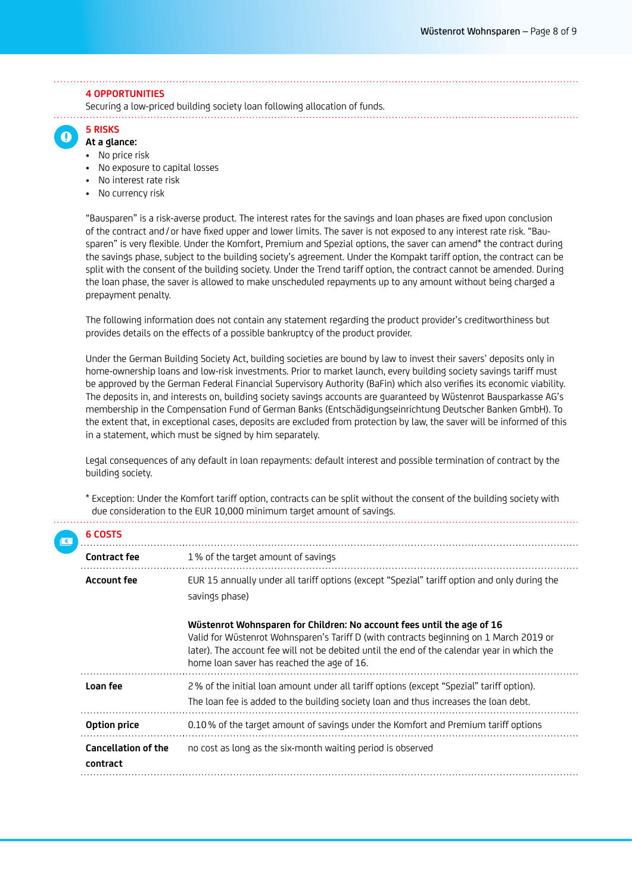#### **4 OPPORTUNITIES**

Securing a low-priced building society loan following allocation of funds.

 $\Omega$ 

- **5 RISKS At a glance:**
- No price risk
- No exposure to capital losses
- No interest rate risk
- No currency risk

"Bausparen" is a risk-averse product. The interest rates for the savings and loan phases are fixed upon conclusion of the contract and / or have fixed upper and lower limits. The saver is not exposed to any interest rate risk. "Bausparen" is very flexible. Under the Komfort, Premium and Spezial options, the saver can amend\* the contract during the savings phase, subject to the building society's agreement. Under the Kompakt tariff option, the contract can be split with the consent of the building society. Under the Trend tariff option, the contract cannot be amended. During the loan phase, the saver is allowed to make unscheduled repayments up to any amount without being charged a prepayment penalty.

The following information does not contain any statement regarding the product provider's creditworthiness but provides details on the effects of a possible bankruptcy of the product provider.

Under the German Building Society Act, building societies are bound by law to invest their savers' deposits only in home-ownership loans and low-risk investments. Prior to market launch, every building society savings tariff must be approved by the German Federal Financial Supervisory Authority (BaFin) which also verifies its economic viability. The deposits in, and interests on, building society savings accounts are guaranteed by Wüstenrot Bausparkasse AG's membership in the Compensation Fund of German Banks (Entschädigungseinrichtung Deutscher Banken GmbH). To the extent that, in exceptional cases, deposits are excluded from protection by law, the saver will be informed of this in a statement, which must be signed by him separately.

Legal consequences of any default in loan repayments: default interest and possible termination of contract by the building society.

\* Exception: Under the Komfort tariff option, contracts can be split without the consent of the building society with due consideration to the EUR 10,000 minimum target amount of savings.

|  | 6 COSTS                                |                                                                                                                                                                                                                                                                                                               |
|--|----------------------------------------|---------------------------------------------------------------------------------------------------------------------------------------------------------------------------------------------------------------------------------------------------------------------------------------------------------------|
|  | <b>Contract fee</b>                    | 1% of the target amount of savings                                                                                                                                                                                                                                                                            |
|  | <b>Account fee</b>                     | EUR 15 annually under all tariff options (except "Spezial" tariff option and only during the<br>savings phase)                                                                                                                                                                                                |
|  |                                        | Wüstenrot Wohnsparen for Children: No account fees until the age of 16<br>Valid for Wüstenrot Wohnsparen's Tariff D (with contracts beginning on 1 March 2019 or<br>later). The account fee will not be debited until the end of the calendar year in which the<br>home loan saver has reached the age of 16. |
|  | Loan fee                               | 2% of the initial loan amount under all tariff options (except "Spezial" tariff option).<br>The loan fee is added to the building society loan and thus increases the loan debt.                                                                                                                              |
|  | Option price                           | 0.10% of the target amount of savings under the Komfort and Premium tariff options                                                                                                                                                                                                                            |
|  | <b>Cancellation of the</b><br>contract | no cost as long as the six-month waiting period is observed                                                                                                                                                                                                                                                   |
|  |                                        |                                                                                                                                                                                                                                                                                                               |